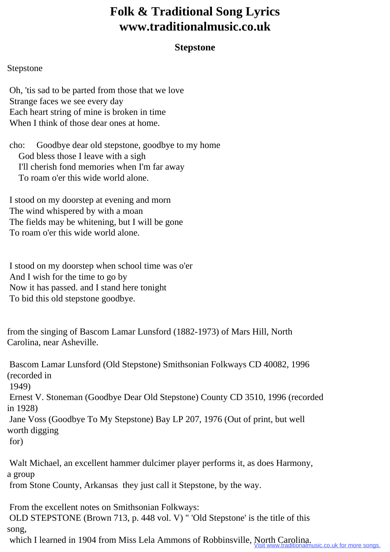## **Folk & Traditional Song Lyrics www.traditionalmusic.co.uk**

## **Stepstone**

## Stepstone

 Oh, 'tis sad to be parted from those that we love Strange faces we see every day Each heart string of mine is broken in time When I think of those dear ones at home.

 cho: Goodbye dear old stepstone, goodbye to my home God bless those I leave with a sigh I'll cherish fond memories when I'm far away To roam o'er this wide world alone.

 I stood on my doorstep at evening and morn The wind whispered by with a moan The fields may be whitening, but I will be gone To roam o'er this wide world alone.

 I stood on my doorstep when school time was o'er And I wish for the time to go by Now it has passed. and I stand here tonight To bid this old stepstone goodbye.

from the singing of Bascom Lamar Lunsford (1882-1973) of Mars Hill, North Carolina, near Asheville.

 Bascom Lamar Lunsford (Old Stepstone) Smithsonian Folkways CD 40082, 1996 (recorded in 1949) Ernest V. Stoneman (Goodbye Dear Old Stepstone) County CD 3510, 1996 (recorded in 1928) Jane Voss (Goodbye To My Stepstone) Bay LP 207, 1976 (Out of print, but well worth digging for) Walt Michael, an excellent hammer dulcimer player performs it, as does Harmony, a group

from Stone County, Arkansas they just call it Stepstone, by the way.

From the excellent notes on Smithsonian Folkways:

 OLD STEPSTONE (Brown 713, p. 448 vol. V) " 'Old Stepstone' is the title of this song,

which I learned in 1904 from Miss Lela Ammons of Robbinsville, North Carolina.